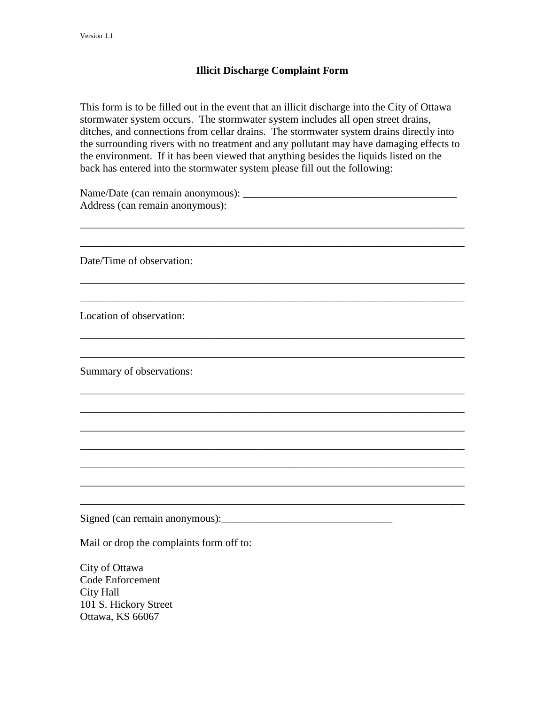## **Illicit Discharge Complaint Form**

This form is to be filled out in the event that an illicit discharge into the City of Ottawa stormwater system occurs. The stormwater system includes all open street drains, ditches, and connections from cellar drains. The stormwater system drains directly into the surrounding rivers with no treatment and any pollutant may have damaging effects to the environment. If it has been viewed that anything besides the liquids listed on the back has entered into the stormwater system please fill out the following:

\_\_\_\_\_\_\_\_\_\_\_\_\_\_\_\_\_\_\_\_\_\_\_\_\_\_\_\_\_\_\_\_\_\_\_\_\_\_\_\_\_\_\_\_\_\_\_\_\_\_\_\_\_\_\_\_\_\_\_\_\_\_\_\_\_\_\_\_\_\_\_\_

\_\_\_\_\_\_\_\_\_\_\_\_\_\_\_\_\_\_\_\_\_\_\_\_\_\_\_\_\_\_\_\_\_\_\_\_\_\_\_\_\_\_\_\_\_\_\_\_\_\_\_\_\_\_\_\_\_\_\_\_\_\_\_\_\_\_\_\_\_\_\_\_

\_\_\_\_\_\_\_\_\_\_\_\_\_\_\_\_\_\_\_\_\_\_\_\_\_\_\_\_\_\_\_\_\_\_\_\_\_\_\_\_\_\_\_\_\_\_\_\_\_\_\_\_\_\_\_\_\_\_\_\_\_\_\_\_\_\_\_\_\_\_\_\_

\_\_\_\_\_\_\_\_\_\_\_\_\_\_\_\_\_\_\_\_\_\_\_\_\_\_\_\_\_\_\_\_\_\_\_\_\_\_\_\_\_\_\_\_\_\_\_\_\_\_\_\_\_\_\_\_\_\_\_\_\_\_\_\_\_\_\_\_\_\_\_\_

\_\_\_\_\_\_\_\_\_\_\_\_\_\_\_\_\_\_\_\_\_\_\_\_\_\_\_\_\_\_\_\_\_\_\_\_\_\_\_\_\_\_\_\_\_\_\_\_\_\_\_\_\_\_\_\_\_\_\_\_\_\_\_\_\_\_\_\_\_\_\_\_

\_\_\_\_\_\_\_\_\_\_\_\_\_\_\_\_\_\_\_\_\_\_\_\_\_\_\_\_\_\_\_\_\_\_\_\_\_\_\_\_\_\_\_\_\_\_\_\_\_\_\_\_\_\_\_\_\_\_\_\_\_\_\_\_\_\_\_\_\_\_\_\_

\_\_\_\_\_\_\_\_\_\_\_\_\_\_\_\_\_\_\_\_\_\_\_\_\_\_\_\_\_\_\_\_\_\_\_\_\_\_\_\_\_\_\_\_\_\_\_\_\_\_\_\_\_\_\_\_\_\_\_\_\_\_\_\_\_\_\_\_\_\_\_\_

\_\_\_\_\_\_\_\_\_\_\_\_\_\_\_\_\_\_\_\_\_\_\_\_\_\_\_\_\_\_\_\_\_\_\_\_\_\_\_\_\_\_\_\_\_\_\_\_\_\_\_\_\_\_\_\_\_\_\_\_\_\_\_\_\_\_\_\_\_\_\_\_

\_\_\_\_\_\_\_\_\_\_\_\_\_\_\_\_\_\_\_\_\_\_\_\_\_\_\_\_\_\_\_\_\_\_\_\_\_\_\_\_\_\_\_\_\_\_\_\_\_\_\_\_\_\_\_\_\_\_\_\_\_\_\_\_\_\_\_\_\_\_\_\_

\_\_\_\_\_\_\_\_\_\_\_\_\_\_\_\_\_\_\_\_\_\_\_\_\_\_\_\_\_\_\_\_\_\_\_\_\_\_\_\_\_\_\_\_\_\_\_\_\_\_\_\_\_\_\_\_\_\_\_\_\_\_\_\_\_\_\_\_\_\_\_\_

\_\_\_\_\_\_\_\_\_\_\_\_\_\_\_\_\_\_\_\_\_\_\_\_\_\_\_\_\_\_\_\_\_\_\_\_\_\_\_\_\_\_\_\_\_\_\_\_\_\_\_\_\_\_\_\_\_\_\_\_\_\_\_\_\_\_\_\_\_\_\_\_

\_\_\_\_\_\_\_\_\_\_\_\_\_\_\_\_\_\_\_\_\_\_\_\_\_\_\_\_\_\_\_\_\_\_\_\_\_\_\_\_\_\_\_\_\_\_\_\_\_\_\_\_\_\_\_\_\_\_\_\_\_\_\_\_\_\_\_\_\_\_\_\_

\_\_\_\_\_\_\_\_\_\_\_\_\_\_\_\_\_\_\_\_\_\_\_\_\_\_\_\_\_\_\_\_\_\_\_\_\_\_\_\_\_\_\_\_\_\_\_\_\_\_\_\_\_\_\_\_\_\_\_\_\_\_\_\_\_\_\_\_\_\_\_\_

Name/Date (can remain anonymous): \_\_\_\_\_\_\_\_\_\_\_\_\_\_\_\_\_\_\_\_\_\_\_\_\_\_\_\_\_\_\_\_\_\_\_\_\_\_\_\_ Address (can remain anonymous):

Date/Time of observation:

Location of observation:

Summary of observations:

Signed (can remain anonymous):\_\_\_\_\_\_\_\_\_\_\_\_\_\_\_\_\_\_\_\_\_\_\_\_\_\_\_\_\_\_\_\_

Mail or drop the complaints form off to:

City of Ottawa Code Enforcement City Hall 101 S. Hickory Street Ottawa, KS 66067